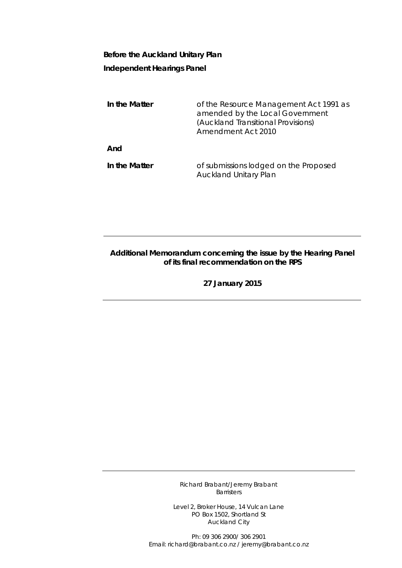## **Before the Auckland Unitary Plan Independent Hearings Panel**

| In the Matter | of the Resource Management Act 1991 as<br>amended by the Local Government<br>(Auckland Transitional Provisions)<br>Amendment Act 2010 |
|---------------|---------------------------------------------------------------------------------------------------------------------------------------|
| And           |                                                                                                                                       |
| In the Matter | of submissions lodged on the Proposed<br><b>Auckland Unitary Plan</b>                                                                 |

## **Additional Memorandum concerning the issue by the Hearing Panel of its final recommendation on the RPS**

**27 January 2015**

Richard Brabant/Jeremy Brabant Barristers

Level 2, Broker House, 14 Vulcan Lane PO Box 1502, Shortland St Auckland City

Ph: 09 306 2900/ 306 2901 Email: richard@brabant.co.nz / jeremy@brabant.co.nz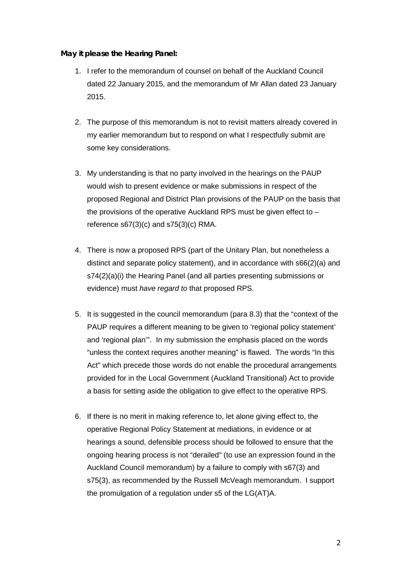## **May it please the Hearing Panel:**

- 1. I refer to the memorandum of counsel on behalf of the Auckland Council dated 22 January 2015, and the memorandum of Mr Allan dated 23 January 2015.
- 2. The purpose of this memorandum is not to revisit matters already covered in my earlier memorandum but to respond on what I respectfully submit are some key considerations.
- 3. My understanding is that no party involved in the hearings on the PAUP would wish to present evidence or make submissions in respect of the proposed Regional and District Plan provisions of the PAUP on the basis that the provisions of the operative Auckland RPS must be given effect to – reference  $s67(3)(c)$  and  $s75(3)(c)$  RMA.
- 4. There is now a proposed RPS (part of the Unitary Plan, but nonetheless a distinct and separate policy statement), and in accordance with s66(2)(a) and s74(2)(a)(i) the Hearing Panel (and all parties presenting submissions or evidence) must *have regard to* that proposed RPS.
- 5. It is suggested in the council memorandum (para 8.3) that the "context of the PAUP requires a different meaning to be given to 'regional policy statement' and 'regional plan'". In my submission the emphasis placed on the words "unless the context requires another meaning" is flawed. The words "In this Act" which precede those words do not enable the procedural arrangements provided for in the Local Government (Auckland Transitional) Act to provide a basis for setting aside the obligation to give effect to the operative RPS.
- 6. If there is no merit in making reference to, let alone giving effect to, the operative Regional Policy Statement at mediations, in evidence or at hearings a sound, defensible process should be followed to ensure that the ongoing hearing process is not "derailed" (to use an expression found in the Auckland Council memorandum) by a failure to comply with s67(3) and s75(3), as recommended by the Russell McVeagh memorandum. I support the promulgation of a regulation under s5 of the LG(AT)A.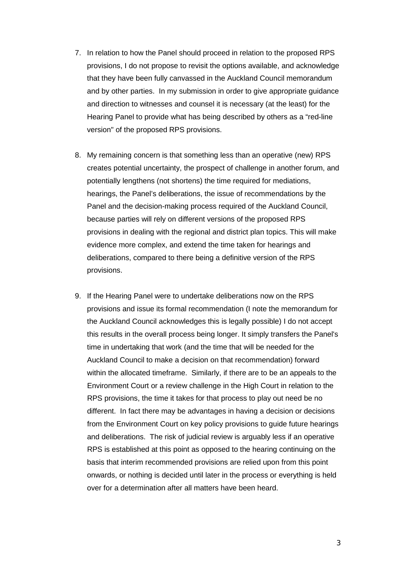- 7. In relation to how the Panel should proceed in relation to the proposed RPS provisions, I do not propose to revisit the options available, and acknowledge that they have been fully canvassed in the Auckland Council memorandum and by other parties. In my submission in order to give appropriate guidance and direction to witnesses and counsel it is necessary (at the least) for the Hearing Panel to provide what has being described by others as a "red-line version" of the proposed RPS provisions.
- 8. My remaining concern is that something less than an operative (new) RPS creates potential uncertainty, the prospect of challenge in another forum, and potentially lengthens (not shortens) the time required for mediations, hearings, the Panel's deliberations, the issue of recommendations by the Panel and the decision-making process required of the Auckland Council, because parties will rely on different versions of the proposed RPS provisions in dealing with the regional and district plan topics. This will make evidence more complex, and extend the time taken for hearings and deliberations, compared to there being a definitive version of the RPS provisions.
- 9. If the Hearing Panel were to undertake deliberations now on the RPS provisions and issue its formal recommendation (I note the memorandum for the Auckland Council acknowledges this is legally possible) I do not accept this results in the overall process being longer. It simply transfers the Panel's time in undertaking that work (and the time that will be needed for the Auckland Council to make a decision on that recommendation) forward within the allocated timeframe. Similarly, if there are to be an appeals to the Environment Court or a review challenge in the High Court in relation to the RPS provisions, the time it takes for that process to play out need be no different. In fact there may be advantages in having a decision or decisions from the Environment Court on key policy provisions to guide future hearings and deliberations. The risk of judicial review is arguably less if an operative RPS is established at this point as opposed to the hearing continuing on the basis that interim recommended provisions are relied upon from this point onwards, or nothing is decided until later in the process or everything is held over for a determination after all matters have been heard.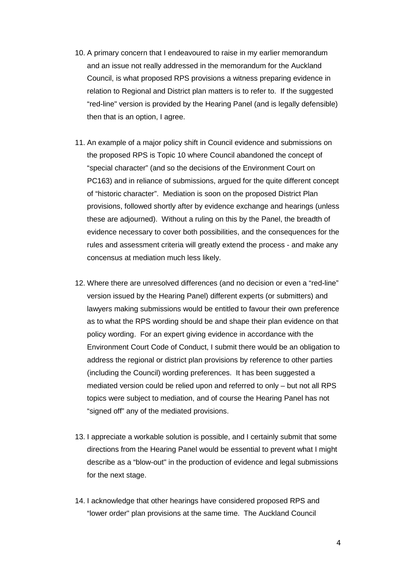- 10. A primary concern that I endeavoured to raise in my earlier memorandum and an issue not really addressed in the memorandum for the Auckland Council, is what proposed RPS provisions a witness preparing evidence in relation to Regional and District plan matters is to refer to. If the suggested "red-line" version is provided by the Hearing Panel (and is legally defensible) then that is an option, I agree.
- 11. An example of a major policy shift in Council evidence and submissions on the proposed RPS is Topic 10 where Council abandoned the concept of "special character" (and so the decisions of the Environment Court on PC163) and in reliance of submissions, argued for the quite different concept of "historic character". Mediation is soon on the proposed District Plan provisions, followed shortly after by evidence exchange and hearings (unless these are adjourned). Without a ruling on this by the Panel, the breadth of evidence necessary to cover both possibilities, and the consequences for the rules and assessment criteria will greatly extend the process - and make any concensus at mediation much less likely.
- 12. Where there are unresolved differences (and no decision or even a "red-line" version issued by the Hearing Panel) different experts (or submitters) and lawyers making submissions would be entitled to favour their own preference as to what the RPS wording should be and shape their plan evidence on that policy wording. For an expert giving evidence in accordance with the Environment Court Code of Conduct, I submit there would be an obligation to address the regional or district plan provisions by reference to other parties (including the Council) wording preferences. It has been suggested a mediated version could be relied upon and referred to only – but not all RPS topics were subject to mediation, and of course the Hearing Panel has not "signed off" any of the mediated provisions.
- 13. I appreciate a workable solution is possible, and I certainly submit that some directions from the Hearing Panel would be essential to prevent what I might describe as a "blow-out" in the production of evidence and legal submissions for the next stage.
- 14. I acknowledge that other hearings have considered proposed RPS and "lower order" plan provisions at the same time. The Auckland Council

4